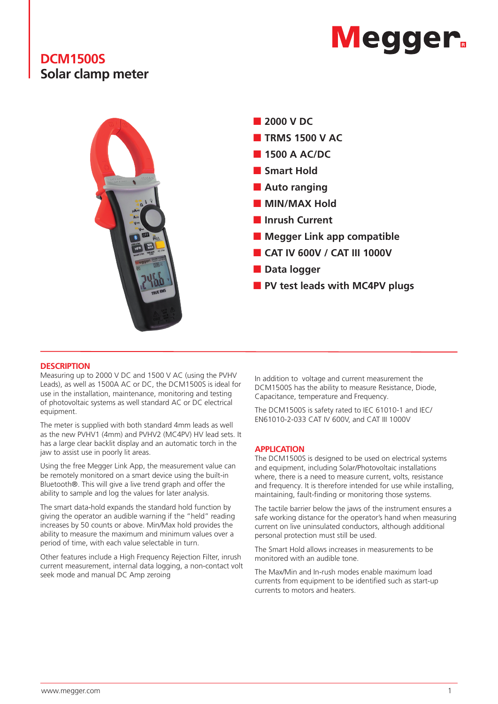# **Megger.**

# **DCM1500S Solar clamp meter**



### **DESCRIPTION**

Measuring up to 2000 V DC and 1500 V AC (using the PVHV Leads), as well as 1500A AC or DC, the DCM1500S is ideal for use in the installation, maintenance, monitoring and testing of photovoltaic systems as well standard AC or DC electrical equipment.

The meter is supplied with both standard 4mm leads as well as the new PVHV1 (4mm) and PVHV2 (MC4PV) HV lead sets. It has a large clear backlit display and an automatic torch in the jaw to assist use in poorly lit areas.

Using the free Megger Link App, the measurement value can be remotely monitored on a smart device using the built-in Bluetooth®. This will give a live trend graph and offer the ability to sample and log the values for later analysis.

The smart data-hold expands the standard hold function by giving the operator an audible warning if the "held" reading increases by 50 counts or above. Min/Max hold provides the ability to measure the maximum and minimum values over a period of time, with each value selectable in turn.

Other features include a High Frequency Rejection Filter, inrush current measurement, internal data logging, a non-contact volt seek mode and manual DC Amp zeroing

In addition to voltage and current measurement the DCM1500S has the ability to measure Resistance, Diode, Capacitance, temperature and Frequency.

The DCM1500S is safety rated to IEC 61010-1 and IEC/ EN61010-2-033 CAT IV 600V, and CAT III 1000V

### **APPLICATION**

The DCM1500S is designed to be used on electrical systems and equipment, including Solar/Photovoltaic installations where, there is a need to measure current, volts, resistance and frequency. It is therefore intended for use while installing, maintaining, fault-finding or monitoring those systems.

The tactile barrier below the jaws of the instrument ensures a safe working distance for the operator's hand when measuring current on live uninsulated conductors, although additional personal protection must still be used.

The Smart Hold allows increases in measurements to be monitored with an audible tone.

The Max/Min and In-rush modes enable maximum load currents from equipment to be identified such as start-up currents to motors and heaters.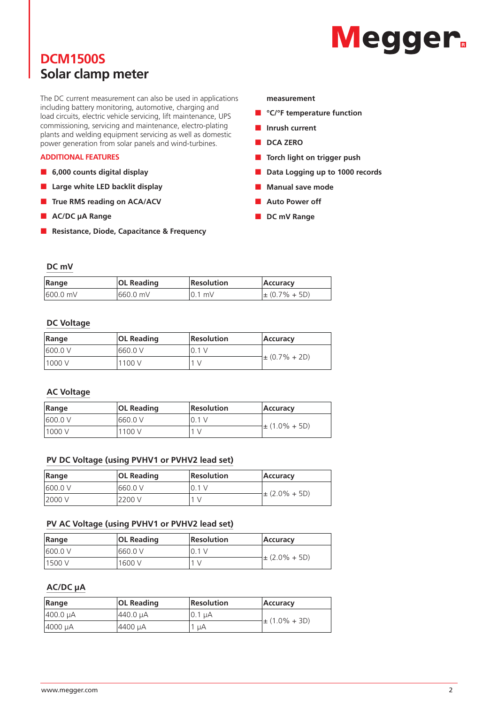# **Megger**

# **DCM1500S Solar clamp meter**

The DC current measurement can also be used in applications including battery monitoring, automotive, charging and load circuits, electric vehicle servicing, lift maintenance, UPS commissioning, servicing and maintenance, electro-plating plants and welding equipment servicing as well as domestic power generation from solar panels and wind-turbines.

### **ADDITIONAL FEATURES**

- **6,000 counts digital display**
- **Large white LED backlit display**
- **True RMS reading on ACA/ACV**
- **AC/DC** µA Range
- **Resistance, Diode, Capacitance & Frequency**

#### **measurement**

- **°C/°F temperature function**
- **Inrush current**
- **DCA ZERO**
- **Torch light on trigger push**
- **Data Logging up to 1000 records**
- **Manual save mode**
- **Auto Power off**
- **DC mV Range**

## **DC mV**

| Range    | <b>OL Reading</b> | <b>Resolution</b> | Accuracy           |
|----------|-------------------|-------------------|--------------------|
| 600.0 mV | 1660.0 mV         | $10.1$ mV         | $\pm (0.7\% + 5D)$ |

### **DC Voltage**

| Range   | <b>OL Reading</b> | <b>Resolution</b> | Accuracy           |
|---------|-------------------|-------------------|--------------------|
| 600.0 V | 1660.0 V          | 10.1 V            |                    |
| 1000 V  | 1100 V            | 1 V               | $\pm (0.7\% + 2D)$ |

### **AC Voltage**

| Range   | <b>OL Reading</b> | <b>Resolution</b> | Accuracy           |
|---------|-------------------|-------------------|--------------------|
| 600.0 V | 1660.0 V          | 10.1 V            |                    |
| 1000 V  | 1100 V            |                   | $\pm (1.0\% + 5D)$ |

### **PV DC Voltage (using PVHV1 or PVHV2 lead set)**

| Range   | <b>OL Reading</b> | <b>Resolution</b> | Accuracy          |
|---------|-------------------|-------------------|-------------------|
| 600.0 V | 1660.0 V          |                   |                   |
| 2000 V  | 2200 V            |                   | $\pm$ (2.0% + 5D) |

### **PV AC Voltage (using PVHV1 or PVHV2 lead set)**

| Range   | <b>OL Reading</b> | <b>Resolution</b> | <b>Accuracy</b>   |
|---------|-------------------|-------------------|-------------------|
| 600.0 V | 660.0 V           | 10.1 V            |                   |
| 1500 V  | 1600 V            |                   | $\pm$ (2.0% + 5D) |

## **AC/DC µA**

| Range    | <b>OL Reading</b> | <b>Resolution</b> | <b>Accuracy</b>    |
|----------|-------------------|-------------------|--------------------|
| 400.0 µA | 440.0 µA          | 10.1 µA           |                    |
| 4000 µA  | 4400 µA           | uA                | $\pm (1.0\% + 3D)$ |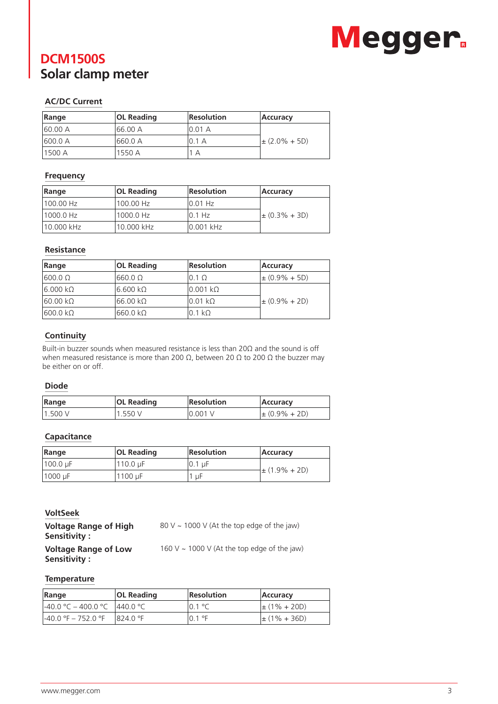# Megger.

# **DCM1500S Solar clamp meter**

# **AC/DC Current**

| Range    | <b>OL Reading</b> | <b>Resolution</b> | <b>Accuracy</b>    |
|----------|-------------------|-------------------|--------------------|
| 160.00 A | 166.00 A          | 10.01 A           |                    |
| 600.0 A  | 1660.0 A          | 0.1A              | $\pm (2.0\% + 5D)$ |
| 1500 A   | 1550 A            | A                 |                    |

# **Frequency**

| Range      | <b>OL Reading</b> | Resolution | Accuracy           |
|------------|-------------------|------------|--------------------|
| 1100.00 Hz | '100.00 Hz        | $10.01$ Hz |                    |
| 1000.0 Hz  | 1000.0 Hz         | $10.1$ Hz  | $\pm (0.3\% + 3D)$ |
| 10.000 kHz | 10.000 kHz        | 0.001 kHz  |                    |

# **Resistance**

| Range           | <b>OL Reading</b> | <b>Resolution</b>         | <b>Accuracy</b>    |
|-----------------|-------------------|---------------------------|--------------------|
| $1600.0 \Omega$ | 660.0 Ω           | $0.1 \Omega$              | $\pm (0.9\% + 5D)$ |
| $6.000 k\Omega$ | l6.600 kΩ         | $0.001 \; \text{k}\Omega$ |                    |
| $60.00 k\Omega$ | $66.00 k\Omega$   | $0.01 k\Omega$            | $\pm (0.9\% + 2D)$ |
| $600.0 k\Omega$ | $660.0 k\Omega$   | $0.1 k\Omega$             |                    |

# **Continuity**

Built-in buzzer sounds when measured resistance is less than 20Ω and the sound is off when measured resistance is more than 200 Ω, between 20 Ω to 200 Ω the buzzer may be either on or off.

## **Diode**

| Range    | <b>OL Reading</b> | Resolution | <b>Accuracy</b>    |
|----------|-------------------|------------|--------------------|
| 11.500 V | 1.550V            | 10.001V    | $\pm (0.9\% + 2D)$ |

# **Capacitance**

| Range    | <b>OL Reading</b> | Resolution | <b>Accuracy</b>    |
|----------|-------------------|------------|--------------------|
| 100.0 µF | 110.0 uF          | 10.1 µF    | $\pm (1.9\% + 2D)$ |
| 1000 µF  | 1100 µF           | uF         |                    |

## **VoltSeek**

| <b>Voltage Range of High</b><br>Sensitivity : | 80 V $\sim$ 1000 V (At the top edge of the jaw)  |
|-----------------------------------------------|--------------------------------------------------|
| <b>Voltage Range of Low</b><br>Sensitivity:   | 160 V $\sim$ 1000 V (At the top edge of the jaw) |

## **Temperature**

| Range                | <b>OL Reading</b> | <b>Resolution</b> | <b>Accuracy</b>   |
|----------------------|-------------------|-------------------|-------------------|
| l-40.0 °C – 400.0 °C | 1440.0 °C         | $10.1 \text{°C}$  | $\pm (1\% + 20D)$ |
| l-40.0 °F – 752.0 °F | $18240°$ F        | 10.1 °F           | $\pm (1\% + 36D)$ |